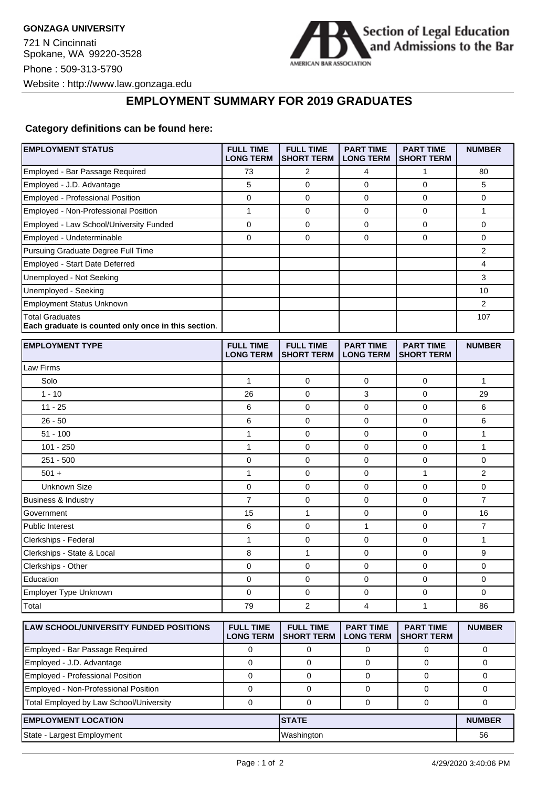721 N Cincinnati Spokane, WA 99220-3528 Phone : 509-313-5790 Website : http://www.law.gonzaga.edu



## **EMPLOYMENT SUMMARY FOR 2019 GRADUATES**

## **Category definitions can be found [here:](https://www.americanbar.org/content/dam/aba/administrative/legal_education_and_admissions_to_the_bar/Questionnaires/2020employmentquestionnaire/2020-aba-employment-protocols-class-of-2019.pdf)**

| Employed - Bar Passage Required<br>73<br>2<br>4<br>1<br>80<br>5<br>$\mathbf 0$<br>$\mathbf 0$<br>5<br>Employed - J.D. Advantage<br>0<br>Employed - Professional Position<br>0<br>$\mathbf 0$<br>$\mathbf 0$<br>0<br>0<br>Employed - Non-Professional Position<br>1<br>0<br>0<br>0<br>$\mathbf{1}$<br>$\mathbf 0$<br>0<br>$\mathbf 0$<br>$\mathbf 0$<br>Employed - Law School/University Funded<br>0<br>Employed - Undeterminable<br>0<br>0<br>0<br>$\mathbf 0$<br>0<br>Pursuing Graduate Degree Full Time<br>$\overline{2}$<br>Employed - Start Date Deferred<br>4<br>Unemployed - Not Seeking<br>3<br>Unemployed - Seeking<br>10<br>Employment Status Unknown<br>2<br><b>Total Graduates</b><br>107<br>Each graduate is counted only once in this section.<br><b>EMPLOYMENT TYPE</b><br><b>FULL TIME</b><br><b>FULL TIME</b><br><b>PART TIME</b><br><b>PART TIME</b><br><b>NUMBER</b><br><b>LONG TERM</b><br><b>SHORT TERM</b><br><b>LONG TERM</b><br><b>SHORT TERM</b><br>Law Firms<br>Solo<br>$\mathbf 0$<br>$\mathbf 0$<br>$\mathbf{1}$<br>1<br>0<br>$1 - 10$<br>3<br>26<br>0<br>0<br>29<br>$11 - 25$<br>6<br>0<br>0<br>0<br>6<br>6<br>$\mathbf 0$<br>$\mathbf 0$<br>6<br>$26 - 50$<br>0<br>1<br>0<br>$\mathbf 0$<br>1<br>$51 - 100$<br>0<br>$101 - 250$<br>1<br>$\mathbf 0$<br>$\mathbf 0$<br>$\mathbf{1}$<br>0<br>$251 - 500$<br>0<br>0<br>$\mathbf 0$<br>0<br>0<br>$\mathbf{1}$<br>$501 +$<br>1<br>0<br>0<br>$\overline{2}$<br>0<br>0<br>$\pmb{0}$<br>Unknown Size<br>$\mathbf 0$<br>0<br>$\overline{7}$<br>$\overline{7}$<br>0<br>0<br>$\mathbf 0$<br><b>Business &amp; Industry</b><br>$\mathbf{1}$<br>$\mathbf 0$<br>Government<br>15<br>0<br>16<br>6<br>$\mathbf 0$<br>1<br>$\mathbf 0$<br>$\overline{7}$<br><b>Public Interest</b><br>1<br>0<br>$\mathbf 0$<br>$\mathbf{1}$<br>Clerkships - Federal<br>0<br>Clerkships - State & Local<br>8<br>$\mathbf{1}$<br>$\mathbf 0$<br>9<br>0<br>Clerkships - Other<br>0<br>0<br>0<br>0<br>0<br>Education<br>0<br>0<br>0<br>$\mathbf 0$<br>0<br>Employer Type Unknown<br>0<br>0<br>0<br>0<br>0<br>4<br>$\overline{2}$<br>$\mathbf{1}$<br>Total<br>79<br>86<br><b>LAW SCHOOL/UNIVERSITY FUNDED POSITIONS</b><br><b>FULL TIME</b><br><b>PART TIME</b><br><b>NUMBER</b><br><b>FULL TIME</b><br><b>PART TIME</b><br><b>SHORT TERM</b><br><b>LONG TERM</b><br><b>LONG TERM</b><br><b>SHORT TERM</b><br>Employed - Bar Passage Required<br>0<br>0<br>0<br>0<br>0<br>$\mathsf{O}\xspace$<br>Employed - J.D. Advantage<br>$\mathbf 0$<br>$\mathbf 0$<br>$\mathbf 0$<br>0<br>Employed - Professional Position<br>$\mathbf 0$<br>$\mathbf 0$<br>0<br>0<br>0<br>Employed - Non-Professional Position<br>0<br>0<br>0<br>0<br>0<br>Total Employed by Law School/University<br>$\pmb{0}$<br>$\mathbf 0$<br>$\mathbf 0$<br>0<br>0<br><b>STATE</b><br><b>EMPLOYMENT LOCATION</b><br><b>NUMBER</b><br>State - Largest Employment<br>Washington<br>56 | <b>EMPLOYMENT STATUS</b> | <b>FULL TIME</b><br><b>LONG TERM</b> | <b>FULL TIME</b><br><b>SHORT TERM</b> | <b>PART TIME</b><br><b>LONG TERM</b> | <b>PART TIME</b><br><b>SHORT TERM</b> | <b>NUMBER</b> |
|----------------------------------------------------------------------------------------------------------------------------------------------------------------------------------------------------------------------------------------------------------------------------------------------------------------------------------------------------------------------------------------------------------------------------------------------------------------------------------------------------------------------------------------------------------------------------------------------------------------------------------------------------------------------------------------------------------------------------------------------------------------------------------------------------------------------------------------------------------------------------------------------------------------------------------------------------------------------------------------------------------------------------------------------------------------------------------------------------------------------------------------------------------------------------------------------------------------------------------------------------------------------------------------------------------------------------------------------------------------------------------------------------------------------------------------------------------------------------------------------------------------------------------------------------------------------------------------------------------------------------------------------------------------------------------------------------------------------------------------------------------------------------------------------------------------------------------------------------------------------------------------------------------------------------------------------------------------------------------------------------------------------------------------------------------------------------------------------------------------------------------------------------------------------------------------------------------------------------------------------------------------------------------------------------------------------------------------------------------------------------------------------------------------------------------------------------------------------------------------------------------------------------------------------------------------------------------------------------------------------------------------------------------------------------------------------------------------------------------------------------------------------------------------------------------------------------------------------------------------------------------------|--------------------------|--------------------------------------|---------------------------------------|--------------------------------------|---------------------------------------|---------------|
|                                                                                                                                                                                                                                                                                                                                                                                                                                                                                                                                                                                                                                                                                                                                                                                                                                                                                                                                                                                                                                                                                                                                                                                                                                                                                                                                                                                                                                                                                                                                                                                                                                                                                                                                                                                                                                                                                                                                                                                                                                                                                                                                                                                                                                                                                                                                                                                                                                                                                                                                                                                                                                                                                                                                                                                                                                                                                        |                          |                                      |                                       |                                      |                                       |               |
|                                                                                                                                                                                                                                                                                                                                                                                                                                                                                                                                                                                                                                                                                                                                                                                                                                                                                                                                                                                                                                                                                                                                                                                                                                                                                                                                                                                                                                                                                                                                                                                                                                                                                                                                                                                                                                                                                                                                                                                                                                                                                                                                                                                                                                                                                                                                                                                                                                                                                                                                                                                                                                                                                                                                                                                                                                                                                        |                          |                                      |                                       |                                      |                                       |               |
|                                                                                                                                                                                                                                                                                                                                                                                                                                                                                                                                                                                                                                                                                                                                                                                                                                                                                                                                                                                                                                                                                                                                                                                                                                                                                                                                                                                                                                                                                                                                                                                                                                                                                                                                                                                                                                                                                                                                                                                                                                                                                                                                                                                                                                                                                                                                                                                                                                                                                                                                                                                                                                                                                                                                                                                                                                                                                        |                          |                                      |                                       |                                      |                                       |               |
|                                                                                                                                                                                                                                                                                                                                                                                                                                                                                                                                                                                                                                                                                                                                                                                                                                                                                                                                                                                                                                                                                                                                                                                                                                                                                                                                                                                                                                                                                                                                                                                                                                                                                                                                                                                                                                                                                                                                                                                                                                                                                                                                                                                                                                                                                                                                                                                                                                                                                                                                                                                                                                                                                                                                                                                                                                                                                        |                          |                                      |                                       |                                      |                                       |               |
|                                                                                                                                                                                                                                                                                                                                                                                                                                                                                                                                                                                                                                                                                                                                                                                                                                                                                                                                                                                                                                                                                                                                                                                                                                                                                                                                                                                                                                                                                                                                                                                                                                                                                                                                                                                                                                                                                                                                                                                                                                                                                                                                                                                                                                                                                                                                                                                                                                                                                                                                                                                                                                                                                                                                                                                                                                                                                        |                          |                                      |                                       |                                      |                                       |               |
|                                                                                                                                                                                                                                                                                                                                                                                                                                                                                                                                                                                                                                                                                                                                                                                                                                                                                                                                                                                                                                                                                                                                                                                                                                                                                                                                                                                                                                                                                                                                                                                                                                                                                                                                                                                                                                                                                                                                                                                                                                                                                                                                                                                                                                                                                                                                                                                                                                                                                                                                                                                                                                                                                                                                                                                                                                                                                        |                          |                                      |                                       |                                      |                                       |               |
|                                                                                                                                                                                                                                                                                                                                                                                                                                                                                                                                                                                                                                                                                                                                                                                                                                                                                                                                                                                                                                                                                                                                                                                                                                                                                                                                                                                                                                                                                                                                                                                                                                                                                                                                                                                                                                                                                                                                                                                                                                                                                                                                                                                                                                                                                                                                                                                                                                                                                                                                                                                                                                                                                                                                                                                                                                                                                        |                          |                                      |                                       |                                      |                                       |               |
|                                                                                                                                                                                                                                                                                                                                                                                                                                                                                                                                                                                                                                                                                                                                                                                                                                                                                                                                                                                                                                                                                                                                                                                                                                                                                                                                                                                                                                                                                                                                                                                                                                                                                                                                                                                                                                                                                                                                                                                                                                                                                                                                                                                                                                                                                                                                                                                                                                                                                                                                                                                                                                                                                                                                                                                                                                                                                        |                          |                                      |                                       |                                      |                                       |               |
|                                                                                                                                                                                                                                                                                                                                                                                                                                                                                                                                                                                                                                                                                                                                                                                                                                                                                                                                                                                                                                                                                                                                                                                                                                                                                                                                                                                                                                                                                                                                                                                                                                                                                                                                                                                                                                                                                                                                                                                                                                                                                                                                                                                                                                                                                                                                                                                                                                                                                                                                                                                                                                                                                                                                                                                                                                                                                        |                          |                                      |                                       |                                      |                                       |               |
|                                                                                                                                                                                                                                                                                                                                                                                                                                                                                                                                                                                                                                                                                                                                                                                                                                                                                                                                                                                                                                                                                                                                                                                                                                                                                                                                                                                                                                                                                                                                                                                                                                                                                                                                                                                                                                                                                                                                                                                                                                                                                                                                                                                                                                                                                                                                                                                                                                                                                                                                                                                                                                                                                                                                                                                                                                                                                        |                          |                                      |                                       |                                      |                                       |               |
|                                                                                                                                                                                                                                                                                                                                                                                                                                                                                                                                                                                                                                                                                                                                                                                                                                                                                                                                                                                                                                                                                                                                                                                                                                                                                                                                                                                                                                                                                                                                                                                                                                                                                                                                                                                                                                                                                                                                                                                                                                                                                                                                                                                                                                                                                                                                                                                                                                                                                                                                                                                                                                                                                                                                                                                                                                                                                        |                          |                                      |                                       |                                      |                                       |               |
|                                                                                                                                                                                                                                                                                                                                                                                                                                                                                                                                                                                                                                                                                                                                                                                                                                                                                                                                                                                                                                                                                                                                                                                                                                                                                                                                                                                                                                                                                                                                                                                                                                                                                                                                                                                                                                                                                                                                                                                                                                                                                                                                                                                                                                                                                                                                                                                                                                                                                                                                                                                                                                                                                                                                                                                                                                                                                        |                          |                                      |                                       |                                      |                                       |               |
|                                                                                                                                                                                                                                                                                                                                                                                                                                                                                                                                                                                                                                                                                                                                                                                                                                                                                                                                                                                                                                                                                                                                                                                                                                                                                                                                                                                                                                                                                                                                                                                                                                                                                                                                                                                                                                                                                                                                                                                                                                                                                                                                                                                                                                                                                                                                                                                                                                                                                                                                                                                                                                                                                                                                                                                                                                                                                        |                          |                                      |                                       |                                      |                                       |               |
|                                                                                                                                                                                                                                                                                                                                                                                                                                                                                                                                                                                                                                                                                                                                                                                                                                                                                                                                                                                                                                                                                                                                                                                                                                                                                                                                                                                                                                                                                                                                                                                                                                                                                                                                                                                                                                                                                                                                                                                                                                                                                                                                                                                                                                                                                                                                                                                                                                                                                                                                                                                                                                                                                                                                                                                                                                                                                        |                          |                                      |                                       |                                      |                                       |               |
|                                                                                                                                                                                                                                                                                                                                                                                                                                                                                                                                                                                                                                                                                                                                                                                                                                                                                                                                                                                                                                                                                                                                                                                                                                                                                                                                                                                                                                                                                                                                                                                                                                                                                                                                                                                                                                                                                                                                                                                                                                                                                                                                                                                                                                                                                                                                                                                                                                                                                                                                                                                                                                                                                                                                                                                                                                                                                        |                          |                                      |                                       |                                      |                                       |               |
|                                                                                                                                                                                                                                                                                                                                                                                                                                                                                                                                                                                                                                                                                                                                                                                                                                                                                                                                                                                                                                                                                                                                                                                                                                                                                                                                                                                                                                                                                                                                                                                                                                                                                                                                                                                                                                                                                                                                                                                                                                                                                                                                                                                                                                                                                                                                                                                                                                                                                                                                                                                                                                                                                                                                                                                                                                                                                        |                          |                                      |                                       |                                      |                                       |               |
|                                                                                                                                                                                                                                                                                                                                                                                                                                                                                                                                                                                                                                                                                                                                                                                                                                                                                                                                                                                                                                                                                                                                                                                                                                                                                                                                                                                                                                                                                                                                                                                                                                                                                                                                                                                                                                                                                                                                                                                                                                                                                                                                                                                                                                                                                                                                                                                                                                                                                                                                                                                                                                                                                                                                                                                                                                                                                        |                          |                                      |                                       |                                      |                                       |               |
|                                                                                                                                                                                                                                                                                                                                                                                                                                                                                                                                                                                                                                                                                                                                                                                                                                                                                                                                                                                                                                                                                                                                                                                                                                                                                                                                                                                                                                                                                                                                                                                                                                                                                                                                                                                                                                                                                                                                                                                                                                                                                                                                                                                                                                                                                                                                                                                                                                                                                                                                                                                                                                                                                                                                                                                                                                                                                        |                          |                                      |                                       |                                      |                                       |               |
|                                                                                                                                                                                                                                                                                                                                                                                                                                                                                                                                                                                                                                                                                                                                                                                                                                                                                                                                                                                                                                                                                                                                                                                                                                                                                                                                                                                                                                                                                                                                                                                                                                                                                                                                                                                                                                                                                                                                                                                                                                                                                                                                                                                                                                                                                                                                                                                                                                                                                                                                                                                                                                                                                                                                                                                                                                                                                        |                          |                                      |                                       |                                      |                                       |               |
|                                                                                                                                                                                                                                                                                                                                                                                                                                                                                                                                                                                                                                                                                                                                                                                                                                                                                                                                                                                                                                                                                                                                                                                                                                                                                                                                                                                                                                                                                                                                                                                                                                                                                                                                                                                                                                                                                                                                                                                                                                                                                                                                                                                                                                                                                                                                                                                                                                                                                                                                                                                                                                                                                                                                                                                                                                                                                        |                          |                                      |                                       |                                      |                                       |               |
|                                                                                                                                                                                                                                                                                                                                                                                                                                                                                                                                                                                                                                                                                                                                                                                                                                                                                                                                                                                                                                                                                                                                                                                                                                                                                                                                                                                                                                                                                                                                                                                                                                                                                                                                                                                                                                                                                                                                                                                                                                                                                                                                                                                                                                                                                                                                                                                                                                                                                                                                                                                                                                                                                                                                                                                                                                                                                        |                          |                                      |                                       |                                      |                                       |               |
|                                                                                                                                                                                                                                                                                                                                                                                                                                                                                                                                                                                                                                                                                                                                                                                                                                                                                                                                                                                                                                                                                                                                                                                                                                                                                                                                                                                                                                                                                                                                                                                                                                                                                                                                                                                                                                                                                                                                                                                                                                                                                                                                                                                                                                                                                                                                                                                                                                                                                                                                                                                                                                                                                                                                                                                                                                                                                        |                          |                                      |                                       |                                      |                                       |               |
|                                                                                                                                                                                                                                                                                                                                                                                                                                                                                                                                                                                                                                                                                                                                                                                                                                                                                                                                                                                                                                                                                                                                                                                                                                                                                                                                                                                                                                                                                                                                                                                                                                                                                                                                                                                                                                                                                                                                                                                                                                                                                                                                                                                                                                                                                                                                                                                                                                                                                                                                                                                                                                                                                                                                                                                                                                                                                        |                          |                                      |                                       |                                      |                                       |               |
|                                                                                                                                                                                                                                                                                                                                                                                                                                                                                                                                                                                                                                                                                                                                                                                                                                                                                                                                                                                                                                                                                                                                                                                                                                                                                                                                                                                                                                                                                                                                                                                                                                                                                                                                                                                                                                                                                                                                                                                                                                                                                                                                                                                                                                                                                                                                                                                                                                                                                                                                                                                                                                                                                                                                                                                                                                                                                        |                          |                                      |                                       |                                      |                                       |               |
|                                                                                                                                                                                                                                                                                                                                                                                                                                                                                                                                                                                                                                                                                                                                                                                                                                                                                                                                                                                                                                                                                                                                                                                                                                                                                                                                                                                                                                                                                                                                                                                                                                                                                                                                                                                                                                                                                                                                                                                                                                                                                                                                                                                                                                                                                                                                                                                                                                                                                                                                                                                                                                                                                                                                                                                                                                                                                        |                          |                                      |                                       |                                      |                                       |               |
|                                                                                                                                                                                                                                                                                                                                                                                                                                                                                                                                                                                                                                                                                                                                                                                                                                                                                                                                                                                                                                                                                                                                                                                                                                                                                                                                                                                                                                                                                                                                                                                                                                                                                                                                                                                                                                                                                                                                                                                                                                                                                                                                                                                                                                                                                                                                                                                                                                                                                                                                                                                                                                                                                                                                                                                                                                                                                        |                          |                                      |                                       |                                      |                                       |               |
|                                                                                                                                                                                                                                                                                                                                                                                                                                                                                                                                                                                                                                                                                                                                                                                                                                                                                                                                                                                                                                                                                                                                                                                                                                                                                                                                                                                                                                                                                                                                                                                                                                                                                                                                                                                                                                                                                                                                                                                                                                                                                                                                                                                                                                                                                                                                                                                                                                                                                                                                                                                                                                                                                                                                                                                                                                                                                        |                          |                                      |                                       |                                      |                                       |               |
|                                                                                                                                                                                                                                                                                                                                                                                                                                                                                                                                                                                                                                                                                                                                                                                                                                                                                                                                                                                                                                                                                                                                                                                                                                                                                                                                                                                                                                                                                                                                                                                                                                                                                                                                                                                                                                                                                                                                                                                                                                                                                                                                                                                                                                                                                                                                                                                                                                                                                                                                                                                                                                                                                                                                                                                                                                                                                        |                          |                                      |                                       |                                      |                                       |               |
|                                                                                                                                                                                                                                                                                                                                                                                                                                                                                                                                                                                                                                                                                                                                                                                                                                                                                                                                                                                                                                                                                                                                                                                                                                                                                                                                                                                                                                                                                                                                                                                                                                                                                                                                                                                                                                                                                                                                                                                                                                                                                                                                                                                                                                                                                                                                                                                                                                                                                                                                                                                                                                                                                                                                                                                                                                                                                        |                          |                                      |                                       |                                      |                                       |               |
|                                                                                                                                                                                                                                                                                                                                                                                                                                                                                                                                                                                                                                                                                                                                                                                                                                                                                                                                                                                                                                                                                                                                                                                                                                                                                                                                                                                                                                                                                                                                                                                                                                                                                                                                                                                                                                                                                                                                                                                                                                                                                                                                                                                                                                                                                                                                                                                                                                                                                                                                                                                                                                                                                                                                                                                                                                                                                        |                          |                                      |                                       |                                      |                                       |               |
|                                                                                                                                                                                                                                                                                                                                                                                                                                                                                                                                                                                                                                                                                                                                                                                                                                                                                                                                                                                                                                                                                                                                                                                                                                                                                                                                                                                                                                                                                                                                                                                                                                                                                                                                                                                                                                                                                                                                                                                                                                                                                                                                                                                                                                                                                                                                                                                                                                                                                                                                                                                                                                                                                                                                                                                                                                                                                        |                          |                                      |                                       |                                      |                                       |               |
|                                                                                                                                                                                                                                                                                                                                                                                                                                                                                                                                                                                                                                                                                                                                                                                                                                                                                                                                                                                                                                                                                                                                                                                                                                                                                                                                                                                                                                                                                                                                                                                                                                                                                                                                                                                                                                                                                                                                                                                                                                                                                                                                                                                                                                                                                                                                                                                                                                                                                                                                                                                                                                                                                                                                                                                                                                                                                        |                          |                                      |                                       |                                      |                                       |               |
|                                                                                                                                                                                                                                                                                                                                                                                                                                                                                                                                                                                                                                                                                                                                                                                                                                                                                                                                                                                                                                                                                                                                                                                                                                                                                                                                                                                                                                                                                                                                                                                                                                                                                                                                                                                                                                                                                                                                                                                                                                                                                                                                                                                                                                                                                                                                                                                                                                                                                                                                                                                                                                                                                                                                                                                                                                                                                        |                          |                                      |                                       |                                      |                                       |               |
|                                                                                                                                                                                                                                                                                                                                                                                                                                                                                                                                                                                                                                                                                                                                                                                                                                                                                                                                                                                                                                                                                                                                                                                                                                                                                                                                                                                                                                                                                                                                                                                                                                                                                                                                                                                                                                                                                                                                                                                                                                                                                                                                                                                                                                                                                                                                                                                                                                                                                                                                                                                                                                                                                                                                                                                                                                                                                        |                          |                                      |                                       |                                      |                                       |               |
|                                                                                                                                                                                                                                                                                                                                                                                                                                                                                                                                                                                                                                                                                                                                                                                                                                                                                                                                                                                                                                                                                                                                                                                                                                                                                                                                                                                                                                                                                                                                                                                                                                                                                                                                                                                                                                                                                                                                                                                                                                                                                                                                                                                                                                                                                                                                                                                                                                                                                                                                                                                                                                                                                                                                                                                                                                                                                        |                          |                                      |                                       |                                      |                                       |               |
|                                                                                                                                                                                                                                                                                                                                                                                                                                                                                                                                                                                                                                                                                                                                                                                                                                                                                                                                                                                                                                                                                                                                                                                                                                                                                                                                                                                                                                                                                                                                                                                                                                                                                                                                                                                                                                                                                                                                                                                                                                                                                                                                                                                                                                                                                                                                                                                                                                                                                                                                                                                                                                                                                                                                                                                                                                                                                        |                          |                                      |                                       |                                      |                                       |               |
|                                                                                                                                                                                                                                                                                                                                                                                                                                                                                                                                                                                                                                                                                                                                                                                                                                                                                                                                                                                                                                                                                                                                                                                                                                                                                                                                                                                                                                                                                                                                                                                                                                                                                                                                                                                                                                                                                                                                                                                                                                                                                                                                                                                                                                                                                                                                                                                                                                                                                                                                                                                                                                                                                                                                                                                                                                                                                        |                          |                                      |                                       |                                      |                                       |               |
|                                                                                                                                                                                                                                                                                                                                                                                                                                                                                                                                                                                                                                                                                                                                                                                                                                                                                                                                                                                                                                                                                                                                                                                                                                                                                                                                                                                                                                                                                                                                                                                                                                                                                                                                                                                                                                                                                                                                                                                                                                                                                                                                                                                                                                                                                                                                                                                                                                                                                                                                                                                                                                                                                                                                                                                                                                                                                        |                          |                                      |                                       |                                      |                                       |               |
|                                                                                                                                                                                                                                                                                                                                                                                                                                                                                                                                                                                                                                                                                                                                                                                                                                                                                                                                                                                                                                                                                                                                                                                                                                                                                                                                                                                                                                                                                                                                                                                                                                                                                                                                                                                                                                                                                                                                                                                                                                                                                                                                                                                                                                                                                                                                                                                                                                                                                                                                                                                                                                                                                                                                                                                                                                                                                        |                          |                                      |                                       |                                      |                                       |               |
|                                                                                                                                                                                                                                                                                                                                                                                                                                                                                                                                                                                                                                                                                                                                                                                                                                                                                                                                                                                                                                                                                                                                                                                                                                                                                                                                                                                                                                                                                                                                                                                                                                                                                                                                                                                                                                                                                                                                                                                                                                                                                                                                                                                                                                                                                                                                                                                                                                                                                                                                                                                                                                                                                                                                                                                                                                                                                        |                          |                                      |                                       |                                      |                                       |               |